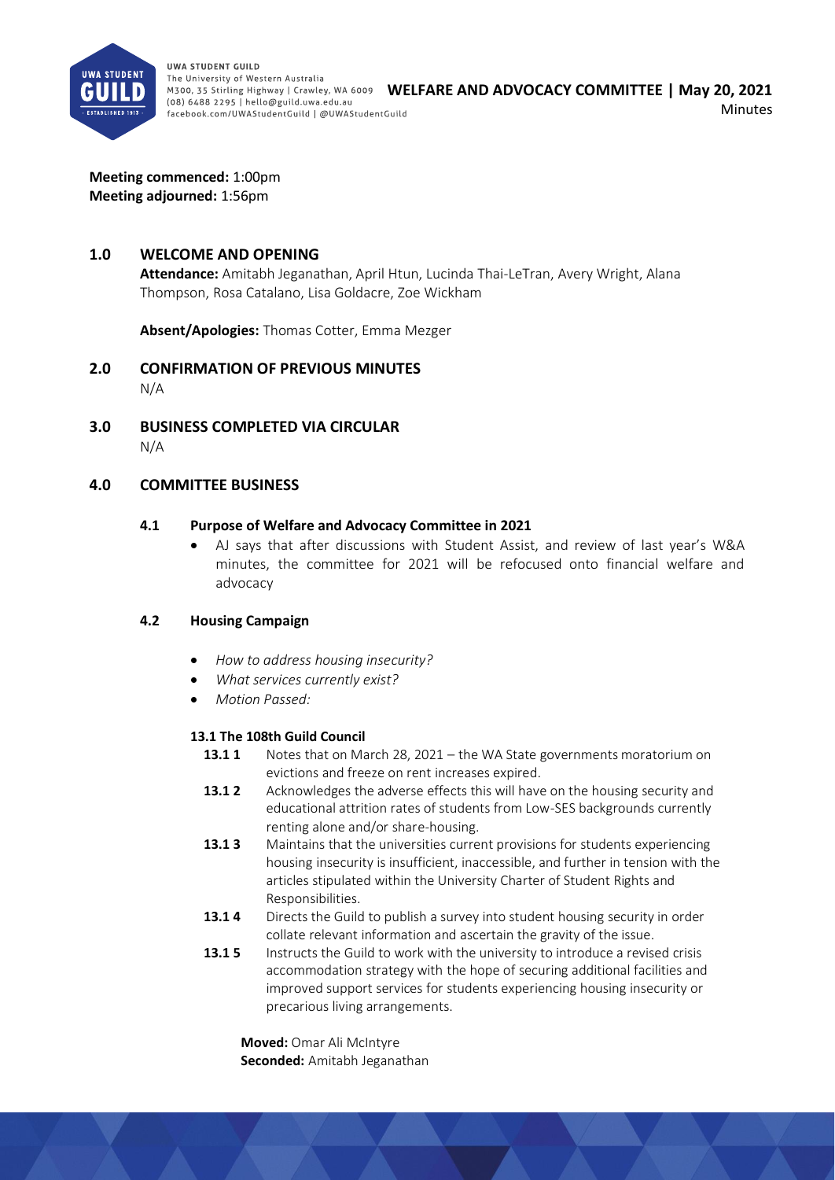

**UWA STUDENT GUILD** The University of Western Australia M300, 35 Stirling Highway | Crawley, WA 6009 WELFARE AND ADVOCACY COMMITTEE | May 20, 2021 (08) 6488 2295 | hello@guild.uwa.edu.au facebook.com/UWAStudentGuild | @UWAStudentGuild

Minutes

**Meeting commenced:** 1:00pm **Meeting adjourned:** 1:56pm

#### **1.0 WELCOME AND OPENING**

**Attendance:** Amitabh Jeganathan, April Htun, Lucinda Thai-LeTran, Avery Wright, Alana Thompson, Rosa Catalano, Lisa Goldacre, Zoe Wickham

**Absent/Apologies:** Thomas Cotter, Emma Mezger

- **2.0 CONFIRMATION OF PREVIOUS MINUTES**  N/A
- **3.0 BUSINESS COMPLETED VIA CIRCULAR**  N/A

#### **4.0 COMMITTEE BUSINESS**

#### **4.1 Purpose of Welfare and Advocacy Committee in 2021**

• AJ says that after discussions with Student Assist, and review of last year's W&A minutes, the committee for 2021 will be refocused onto financial welfare and advocacy

#### **4.2 Housing Campaign**

- *How to address housing insecurity?*
- *What services currently exist?*
- *Motion Passed:*

#### **13.1 The 108th Guild Council**

- **13.1 1** Notes that on March 28, 2021 the WA State governments moratorium on evictions and freeze on rent increases expired.
- **13.1 2** Acknowledges the adverse effects this will have on the housing security and educational attrition rates of students from Low-SES backgrounds currently renting alone and/or share-housing.
- **13.1 3** Maintains that the universities current provisions for students experiencing housing insecurity is insufficient, inaccessible, and further in tension with the articles stipulated within the University Charter of Student Rights and Responsibilities.
- **13.1 4** Directs the Guild to publish a survey into student housing security in order collate relevant information and ascertain the gravity of the issue.
- **13.1 5** Instructs the Guild to work with the university to introduce a revised crisis accommodation strategy with the hope of securing additional facilities and improved support services for students experiencing housing insecurity or precarious living arrangements.

**Moved:** Omar Ali McIntyre **Seconded:** Amitabh Jeganathan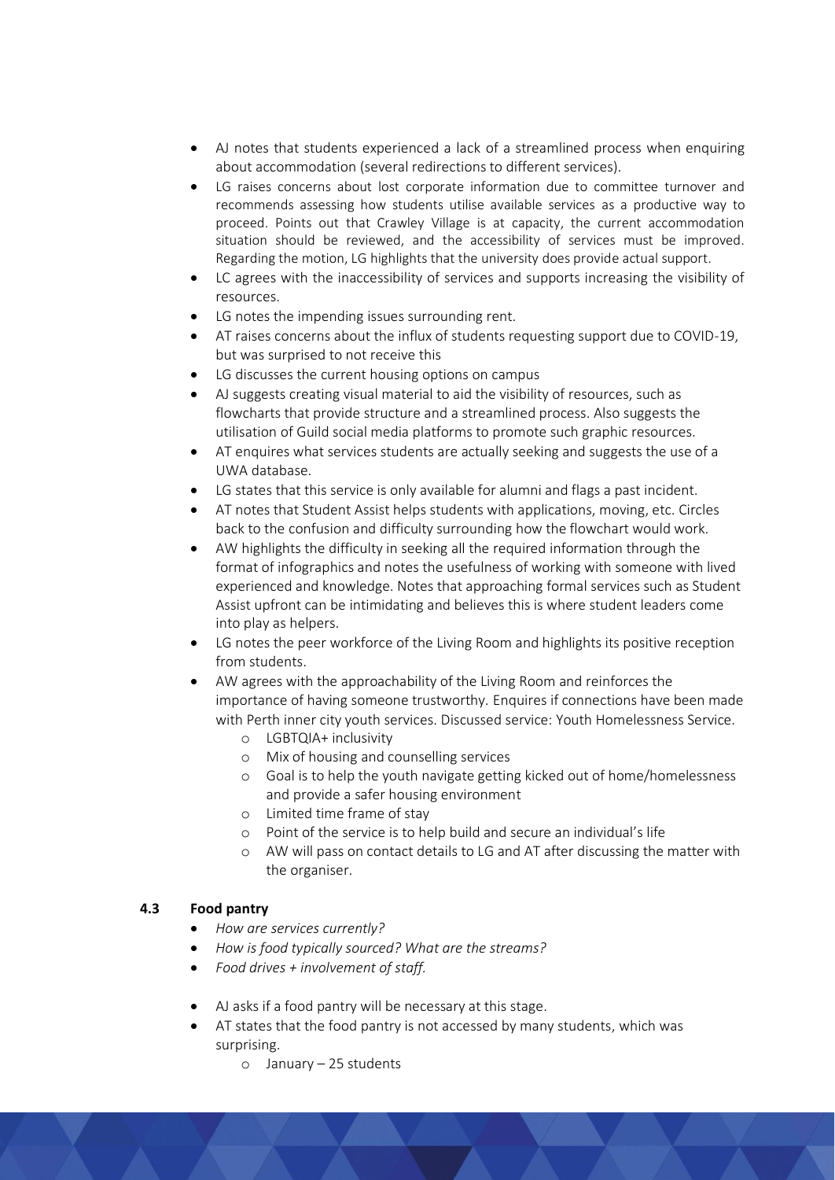- AJ notes that students experienced a lack of a streamlined process when enquiring about accommodation (several redirections to different services).
- LG raises concerns about lost corporate information due to committee turnover and recommends assessing how students utilise available services as a productive way to proceed. Points out that Crawley Village is at capacity, the current accommodation situation should be reviewed, and the accessibility of services must be improved. Regarding the motion, LG highlights that the university does provide actual support.
- LC agrees with the inaccessibility of services and supports increasing the visibility of resources.
- LG notes the impending issues surrounding rent.
- AT raises concerns about the influx of students requesting support due to COVID-19, but was surprised to not receive this
- LG discusses the current housing options on campus
- AJ suggests creating visual material to aid the visibility of resources, such as flowcharts that provide structure and a streamlined process. Also suggests the utilisation of Guild social media platforms to promote such graphic resources.
- AT enquires what services students are actually seeking and suggests the use of a UWA database.
- LG states that this service is only available for alumni and flags a past incident.
- AT notes that Student Assist helps students with applications, moving, etc. Circles back to the confusion and difficulty surrounding how the flowchart would work.
- AW highlights the difficulty in seeking all the required information through the format of infographics and notes the usefulness of working with someone with lived experienced and knowledge. Notes that approaching formal services such as Student Assist upfront can be intimidating and believes this is where student leaders come into play as helpers.
- LG notes the peer workforce of the Living Room and highlights its positive reception from students.
- AW agrees with the approachability of the Living Room and reinforces the importance of having someone trustworthy. Enquires if connections have been made with Perth inner city youth services. Discussed service: Youth Homelessness Service.
	- o LGBTQIA+ inclusivity
	- o Mix of housing and counselling services
	- o Goal is to help the youth navigate getting kicked out of home/homelessness and provide a safer housing environment
	- o Limited time frame of stay
	- o Point of the service is to help build and secure an individual's life
	- o AW will pass on contact details to LG and AT after discussing the matter with the organiser.

## **4.3 Food pantry**

- *How are services currently?*
- *How is food typically sourced? What are the streams?*
- *Food drives + involvement of staff.*
- AJ asks if a food pantry will be necessary at this stage.
- AT states that the food pantry is not accessed by many students, which was surprising.
	- o January 25 students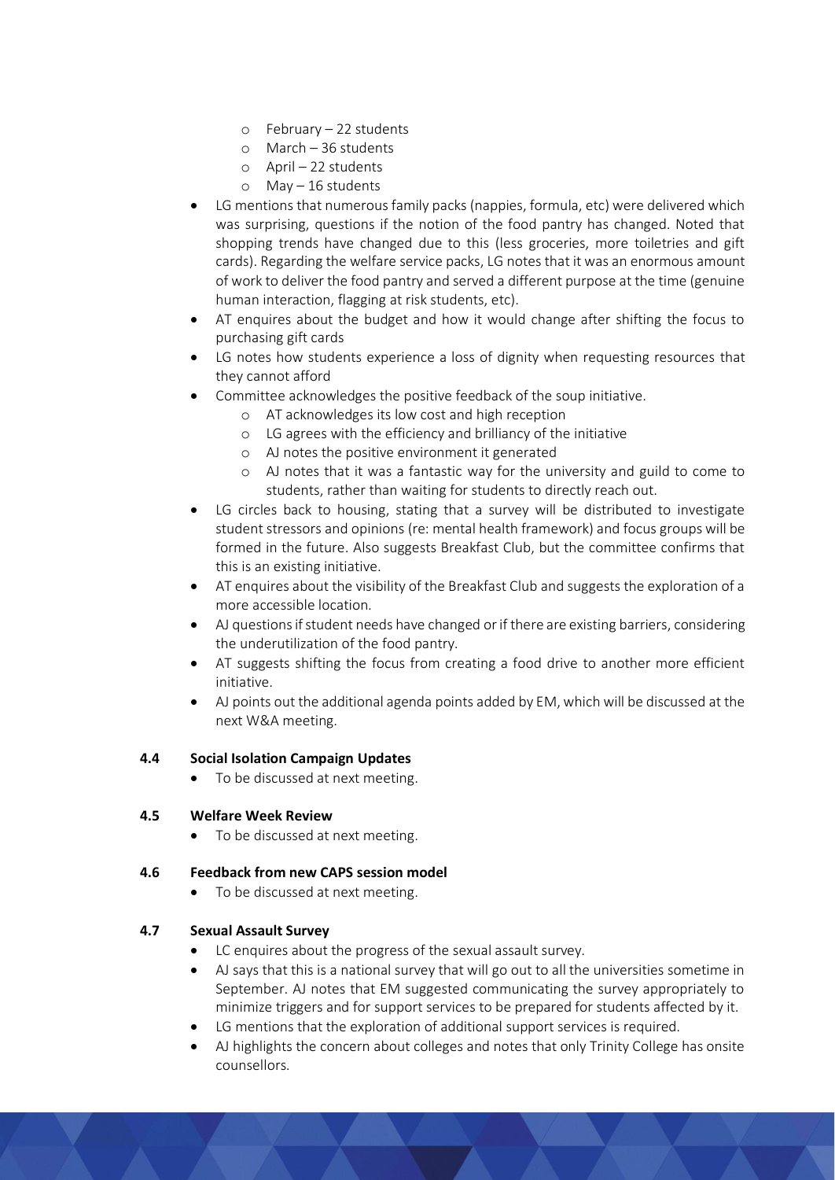- o February 22 students
- o March 36 students
- o April 22 students
- o May 16 students
- LG mentions that numerous family packs (nappies, formula, etc) were delivered which was surprising, questions if the notion of the food pantry has changed. Noted that shopping trends have changed due to this (less groceries, more toiletries and gift cards). Regarding the welfare service packs, LG notes that it was an enormous amount of work to deliver the food pantry and served a different purpose at the time (genuine human interaction, flagging at risk students, etc).
- AT enquires about the budget and how it would change after shifting the focus to purchasing gift cards
- LG notes how students experience a loss of dignity when requesting resources that they cannot afford
- Committee acknowledges the positive feedback of the soup initiative.
	- o AT acknowledges its low cost and high reception
	- o LG agrees with the efficiency and brilliancy of the initiative
	- o AJ notes the positive environment it generated
	- o AJ notes that it was a fantastic way for the university and guild to come to students, rather than waiting for students to directly reach out.
- LG circles back to housing, stating that a survey will be distributed to investigate student stressors and opinions (re: mental health framework) and focus groups will be formed in the future. Also suggests Breakfast Club, but the committee confirms that this is an existing initiative.
- AT enquires about the visibility of the Breakfast Club and suggests the exploration of a more accessible location.
- AJ questions if student needs have changed or if there are existing barriers, considering the underutilization of the food pantry.
- AT suggests shifting the focus from creating a food drive to another more efficient initiative.
- AJ points out the additional agenda points added by EM, which will be discussed at the next W&A meeting.

## **4.4 Social Isolation Campaign Updates**

To be discussed at next meeting.

## **4.5 Welfare Week Review**

• To be discussed at next meeting.

## **4.6 Feedback from new CAPS session model**

• To be discussed at next meeting.

## **4.7 Sexual Assault Survey**

- LC enquires about the progress of the sexual assault survey.
- AJ says that this is a national survey that will go out to all the universities sometime in September. AJ notes that EM suggested communicating the survey appropriately to minimize triggers and for support services to be prepared for students affected by it.
- LG mentions that the exploration of additional support services is required.
- AJ highlights the concern about colleges and notes that only Trinity College has onsite counsellors.